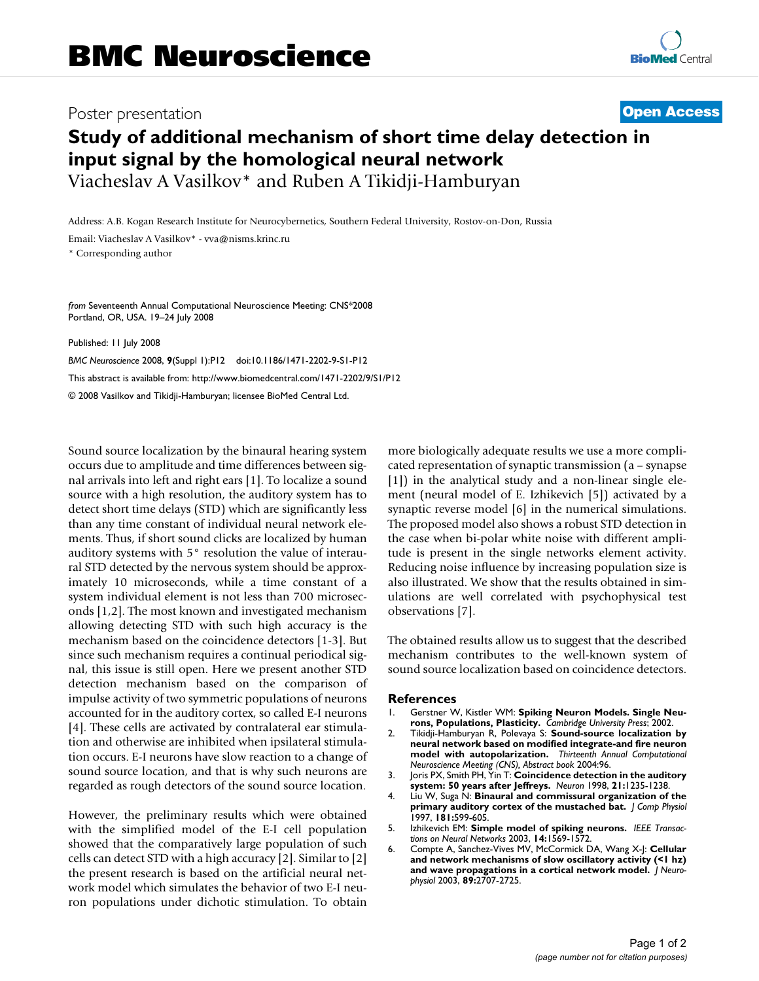## Poster presentation **Contract Contract Contract Contract Contract Contract Contract Contract Contract Contract Contract Contract Contract Contract Contract Contract Contract Contract Contract Contract Contract Contract Con**

## **Study of additional mechanism of short time delay detection in input signal by the homological neural network** Viacheslav A Vasilkov\* and Ruben A Tikidji-Hamburyan

Address: A.B. Kogan Research Institute for Neurocybernetics, Southern Federal University, Rostov-on-Don, Russia

Email: Viacheslav A Vasilkov\* - vva@nisms.krinc.ru

\* Corresponding author

*from* Seventeenth Annual Computational Neuroscience Meeting: CNS\*2008 Portland, OR, USA. 19–24 July 2008

Published: 11 July 2008

*BMC Neuroscience* 2008, **9**(Suppl 1):P12 doi:10.1186/1471-2202-9-S1-P12 [This abstract is available from: http://www.biomedcentral.com/1471-2202/9/S1/P12](http://www.biomedcentral.com/1471-2202/9/S1/P12) © 2008 Vasilkov and Tikidji-Hamburyan; licensee BioMed Central Ltd.

Sound source localization by the binaural hearing system occurs due to amplitude and time differences between signal arrivals into left and right ears [1]. To localize a sound source with a high resolution, the auditory system has to detect short time delays (STD) which are significantly less than any time constant of individual neural network elements. Thus, if short sound clicks are localized by human auditory systems with 5° resolution the value of interaural STD detected by the nervous system should be approximately 10 microseconds, while a time constant of a system individual element is not less than 700 microseconds [1,2]. The most known and investigated mechanism allowing detecting STD with such high accuracy is the mechanism based on the coincidence detectors [1-3]. But since such mechanism requires a continual periodical signal, this issue is still open. Here we present another STD detection mechanism based on the comparison of impulse activity of two symmetric populations of neurons accounted for in the auditory cortex, so called E-I neurons [4]. These cells are activated by contralateral ear stimulation and otherwise are inhibited when ipsilateral stimulation occurs. E-I neurons have slow reaction to a change of sound source location, and that is why such neurons are regarded as rough detectors of the sound source location.

However, the preliminary results which were obtained with the simplified model of the E-I cell population showed that the comparatively large population of such cells can detect STD with a high accuracy [2]. Similar to [2] the present research is based on the artificial neural network model which simulates the behavior of two E-I neuron populations under dichotic stimulation. To obtain more biologically adequate results we use a more complicated representation of synaptic transmission (a – synapse [1]) in the analytical study and a non-linear single element (neural model of E. Izhikevich [5]) activated by a synaptic reverse model [6] in the numerical simulations. The proposed model also shows a robust STD detection in the case when bi-polar white noise with different amplitude is present in the single networks element activity. Reducing noise influence by increasing population size is also illustrated. We show that the results obtained in simulations are well correlated with psychophysical test observations [7].

The obtained results allow us to suggest that the described mechanism contributes to the well-known system of sound source localization based on coincidence detectors.

## **References**

- 1. Gerstner W, Kistler WM: **Spiking Neuron Models. Single Neurons, Populations, Plasticity.** *Cambridge University Press*; 2002.
- 2. Tikidji-Hamburyan R, Polevaya S: **Sound-source localization by neural network based on modified integrate-and fire neuron model with autopolarization.** *Thirteenth Annual Computational Neuroscience Meeting (CNS), Abstract book* 2004:96.
- 3. Joris PX, Smith PH, Yin T: **[Coincidence detection in the auditory](http://www.ncbi.nlm.nih.gov/entrez/query.fcgi?cmd=Retrieve&db=PubMed&dopt=Abstract&list_uids=9883717) [system: 50 years after Jeffreys.](http://www.ncbi.nlm.nih.gov/entrez/query.fcgi?cmd=Retrieve&db=PubMed&dopt=Abstract&list_uids=9883717)** *Neuron* 1998, **21:**1235-1238.
- 4. Liu W, Suga N: **Binaural and commissural organization of the primary auditory cortex of the mustached bat.** *J Comp Physiol* 1997, **181:**599-605.
- 5. Izhikevich EM: **[Simple model of spiking neurons.](http://www.ncbi.nlm.nih.gov/entrez/query.fcgi?cmd=Retrieve&db=PubMed&dopt=Abstract&list_uids=18244602)** *IEEE Transactions on Neural Networks* 2003, **14:**1569-1572.
- 6. Compte A, Sanchez-Vives MV, McCormick DA, Wang X-J: **[Cellular](http://www.ncbi.nlm.nih.gov/entrez/query.fcgi?cmd=Retrieve&db=PubMed&dopt=Abstract&list_uids=12612051) [and network mechanisms of slow oscillatory activity \(<1 hz\)](http://www.ncbi.nlm.nih.gov/entrez/query.fcgi?cmd=Retrieve&db=PubMed&dopt=Abstract&list_uids=12612051) [and wave propagations in a cortical network model.](http://www.ncbi.nlm.nih.gov/entrez/query.fcgi?cmd=Retrieve&db=PubMed&dopt=Abstract&list_uids=12612051)** *J Neurophysiol* 2003, **89:**2707-2725.